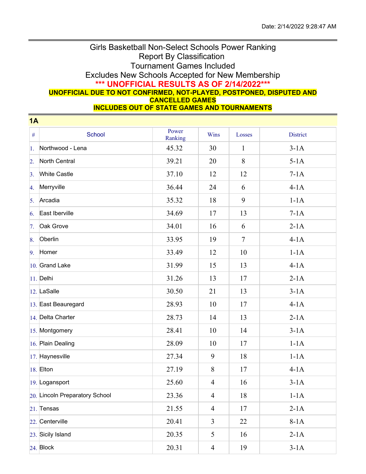## Girls Basketball Non-Select Schools Power Ranking Report By Classification Tournament Games Included Excludes New Schools Accepted for New Membership **\*\*\* UNOFFICIAL RESULTS AS OF 2/14/2022\*\*\* UNOFFICIAL DUE TO NOT CONFIRMED, NOT-PLAYED, POSTPONED, DISPUTED AND CANCELLED GAMES**

**INCLUDES OUT OF STATE GAMES AND TOURNAMENTS**

| <b>1A</b>        |                                |                  |                |                 |                 |  |  |  |  |
|------------------|--------------------------------|------------------|----------------|-----------------|-----------------|--|--|--|--|
| $\#$             | School                         | Power<br>Ranking | Wins           | Losses          | <b>District</b> |  |  |  |  |
| 1.               | Northwood - Lena               | 45.32            | 30             | $\mathbf{1}$    | $3-1A$          |  |  |  |  |
| $\overline{2}$ . | North Central                  | 39.21            | 20             | 8               | $5-1A$          |  |  |  |  |
| 3.               | <b>White Castle</b>            | 37.10            | 12             | 12              | $7-1A$          |  |  |  |  |
| 4.               | Merryville                     | 36.44            | 24             | 6               | $4-1A$          |  |  |  |  |
| 5.               | Arcadia                        | 35.32            | 18             | 9               | $1-1A$          |  |  |  |  |
| 6.               | East Iberville                 | 34.69            | 17             | 13              | $7-1A$          |  |  |  |  |
| 7.               | Oak Grove                      | 34.01            | 16             | 6               | $2-1A$          |  |  |  |  |
| 8.               | Oberlin                        | 33.95            | 19             | $7\phantom{.0}$ | $4-1A$          |  |  |  |  |
| 9.               | Homer                          | 33.49            | 12             | 10              | $1-1A$          |  |  |  |  |
|                  | 10. Grand Lake                 | 31.99            | 15             | 13              | $4-1A$          |  |  |  |  |
|                  | $11.$ Delhi                    | 31.26            | 13             | 17              | $2-1A$          |  |  |  |  |
|                  | $ 12.$ LaSalle                 | 30.50            | 21             | 13              | $3-1A$          |  |  |  |  |
|                  | 13. East Beauregard            | 28.93            | 10             | 17              | $4-1A$          |  |  |  |  |
|                  | 14. Delta Charter              | 28.73            | 14             | 13              | $2-1A$          |  |  |  |  |
|                  | 15. Montgomery                 | 28.41            | 10             | 14              | $3-1A$          |  |  |  |  |
|                  | 16. Plain Dealing              | 28.09            | 10             | 17              | $1-1A$          |  |  |  |  |
|                  | 17. Haynesville                | 27.34            | 9              | 18              | $1-1A$          |  |  |  |  |
|                  | $18.$ Elton                    | 27.19            | 8              | 17              | $4-1A$          |  |  |  |  |
|                  | 19. Logansport                 | 25.60            | $\overline{4}$ | 16              | $3-1A$          |  |  |  |  |
|                  | 20. Lincoln Preparatory School | 23.36            | $\overline{4}$ | 18              | $1-1A$          |  |  |  |  |
|                  | $21.$ Tensas                   | 21.55            | $\overline{4}$ | 17              | $2-1A$          |  |  |  |  |
|                  | 22. Centerville                | 20.41            | 3              | 22              | $8-1A$          |  |  |  |  |
|                  | 23. Sicily Island              | 20.35            | 5              | 16              | $2-1A$          |  |  |  |  |
|                  | 24. Block                      | 20.31            | $\overline{4}$ | 19              | $3-1A$          |  |  |  |  |